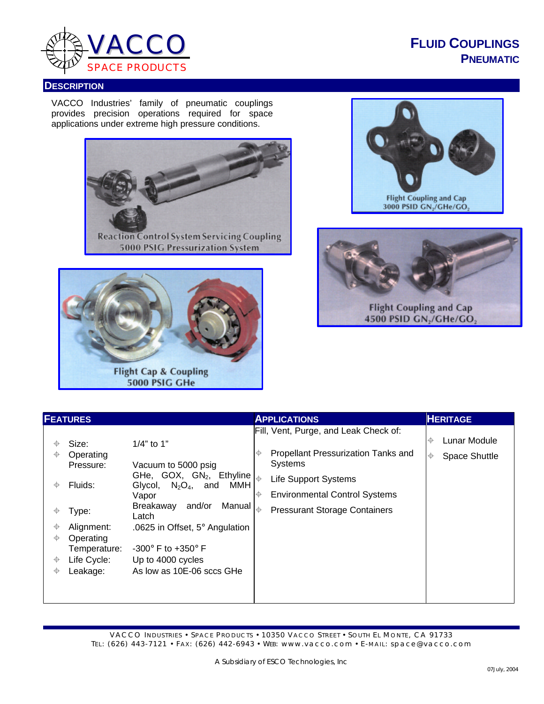

**FLUID COUPLINGS PNEUMATIC**

## **DESCRIPTION**

VACCO Industries' family of pneumatic couplings provides precision operations required for space applications under extreme high pressure conditions.









VACCO INDUSTRIES • SPACE PRODUCTS • 10350 VACCO STREET • SOUTH EL MONTE, CA 91733 TEL: (626) 443-7121 • FAX: (626) 442-6943 • WEB: www.vacco.com • E-MAIL: space@vacco.com